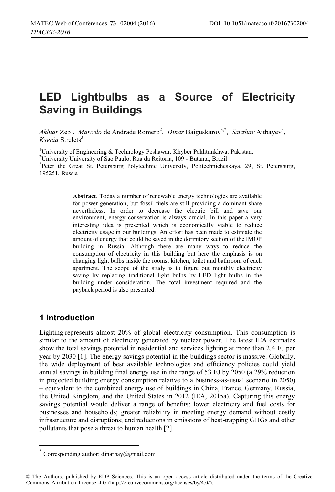# **LED Lightbulbs as a Source of Electricity Saving in Buildings**

Akhtar Zeb<sup>1</sup>, Marcelo de Andrade Romero<sup>2</sup>, *Dinar* Baiguskarov<sup>3,\*</sup>, *Sanzhar* Aitbayev<sup>3</sup>, *Ksenia* Strelets<sup>3</sup>

<sup>1</sup>University of Engineering & Technology Peshawar, Khyber Pakhtunkhwa, Pakistan. <sup>2</sup> University University of Sao Paulo, Rua da Reitoria, 109 - Butanta, Brazil<sup>3</sup><br><sup>3</sup> Pater, the Great, St. Petersburg, Polytechnic, University, Politechniches <sup>3</sup>Peter the Great St. Petersburg Polytechnic University, Politechnicheskaya, 29, St. Petersburg, 195251, Russia

> **Abstract**. Today a number of renewable energy technologies are available for power generation, but fossil fuels are still providing a dominant share nevertheless. In order to decrease the electric bill and save our environment, energy conservation is always crucial. In this paper a very interesting idea is presented which is economically viable to reduce electricity usage in our buildings. An effort has been made to estimate the amount of energy that could be saved in the dormitory section of the IMOP building in Russia. Although there are many ways to reduce the consumption of electricity in this building but here the emphasis is on changing light bulbs inside the rooms, kitchen, toilet and bathroom of each apartment. The scope of the study is to figure out monthly electricity saving by replacing traditional light bulbs by LED light bulbs in the building under consideration. The total investment required and the payback period is also presented.

# **1 Introduction**

 $\overline{a}$ 

Lighting represents almost 20% of global electricity consumption. This consumption is similar to the amount of electricity generated by nuclear power. The latest IEA estimates show the total savings potential in residential and services lighting at more than 2.4 EJ per year by 2030 [1]. The energy savings potential in the buildings sector is massive. Globally, the wide deployment of best available technologies and efficiency policies could yield annual savings in building final energy use in the range of 53 EJ by 2050 (a 29% reduction in projected building energy consumption relative to a business-as-usual scenario in 2050) – equivalent to the combined energy use of buildings in China, France, Germany, Russia, the United Kingdom, and the United States in 2012 (IEA, 2015a). Capturing this energy savings potential would deliver a range of benefits: lower electricity and fuel costs for businesses and households; greater reliability in meeting energy demand without costly infrastructure and disruptions; and reductions in emissions of heat-trapping GHGs and other pollutants that pose a threat to human health [2].

Corresponding author: dinarbay@gmail.com

<sup>©</sup> The Authors, published by EDP Sciences. This is an open access article distributed under the terms of the Creative Commons Attribution License 4.0 (http://creativecommons.org/licenses/by/4.0/).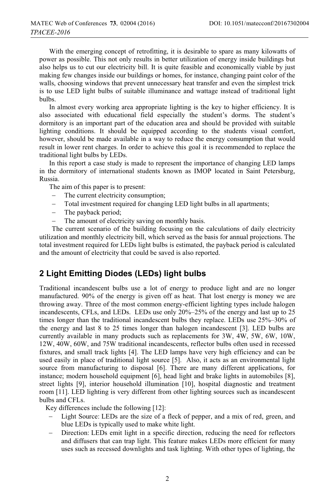With the emerging concept of retrofitting, it is desirable to spare as many kilowatts of power as possible. This not only results in better utilization of energy inside buildings but also helps us to cut our electricity bill. It is quite feasible and economically viable by just making few changes inside our buildings or homes, for instance, changing paint color of the walls, choosing windows that prevent unnecessary heat transfer and even the simplest trick is to use LED light bulbs of suitable illuminance and wattage instead of traditional light bulbs.

In almost every working area appropriate lighting is the key to higher efficiency. It is also associated with educational field especially the student's dorms. The student's dormitory is an important part of the education area and should be provided with suitable lighting conditions. It should be equipped according to the students visual comfort, however, should be made available in a way to reduce the energy consumption that would result in lower rent charges. In order to achieve this goal it is recommended to replace the traditional light bulbs by LEDs.

In this report a case study is made to represent the importance of changing LED lamps in the dormitory of international students known as IMOP located in Saint Petersburg, Russia.

The aim of this paper is to present:

- -The current electricity consumption;
- -Total investment required for changing LED light bulbs in all apartments;
- -The payback period;
- -The amount of electricity saving on monthly basis.

The current scenario of the building focusing on the calculations of daily electricity utilization and monthly electricity bill, which served as the basis for annual projections. The total investment required for LEDs light bulbs is estimated, the payback period is calculated and the amount of electricity that could be saved is also reported.

#### **2 Light Emitting Diodes (LEDs) light bulbs**

Traditional incandescent bulbs use a lot of energy to produce light and are no longer manufactured. 90% of the energy is given off as heat. That lost energy is money we are throwing away. Three of the most common energy-efficient lighting types include halogen incandescents, CFLs, and LEDs. LEDs use only 20%–25% of the energy and last up to 25 times longer than the traditional incandescent bulbs they replace. LEDs use 25%–30% of the energy and last 8 to 25 times longer than halogen incandescent [3]. LED bulbs are currently available in many products such as replacements for 3W, 4W, 5W, 6W, 10W, 12W, 40W, 60W, and 75W traditional incandescents, reflector bulbs often used in recessed fixtures, and small track lights [4]. The LED lamps have very high efficiency and can be used easily in place of traditional light source [5]. Also, it acts as an environmental light source from manufacturing to disposal [6]. There are many different applications, for instance; modern household equipment [6], head light and brake lights in automobiles [8], street lights [9], interior household illumination [10], hospital diagnostic and treatment room [11]. LED lighting is very different from other lighting sources such as incandescent bulbs and CFLs.

Key differences include the following [12]:

- - Light Source: LEDs are the size of a fleck of pepper, and a mix of red, green, and blue LEDs is typically used to make white light.
- - Direction: LEDs emit light in a specific direction, reducing the need for reflectors and diffusers that can trap light. This feature makes LEDs more efficient for many uses such as recessed downlights and task lighting. With other types of lighting, the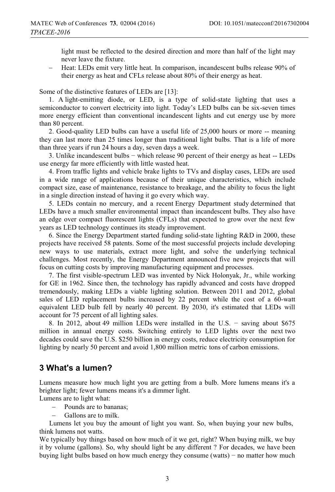light must be reflected to the desired direction and more than half of the light may never leave the fixture.

- Heat: LEDs emit very little heat. In comparison, incandescent bulbs release 90% of their energy as heat and CFLs release about 80% of their energy as heat.

Some of the distinctive features of LEDs are [13]:

1. A light-emitting diode, or LED, is a type of solid-state lighting that uses a semiconductor to convert electricity into light. Today's LED bulbs can be six-seven times more energy efficient than conventional incandescent lights and cut energy use by more than 80 percent.

2. Good-quality LED bulbs can have a useful life of 25,000 hours or more -- meaning they can last more than 25 times longer than traditional light bulbs. That is a life of more than three years if run 24 hours a day, seven days a week.

3. Unlike incandescent bulbs − which release 90 percent of their energy as heat -- LEDs use energy far more efficiently with little wasted heat.

4. From traffic lights and vehicle brake lights to TVs and display cases, LEDs are used in a wide range of applications because of their unique characteristics, which include compact size, ease of maintenance, resistance to breakage, and the ability to focus the light in a single direction instead of having it go every which way.

5. LEDs contain no mercury, and a recent Energy Department study determined that LEDs have a much smaller environmental impact than incandescent bulbs. They also have an edge over compact fluorescent lights (CFLs) that expected to grow over the next few years as LED technology continues its steady improvement.

6. Since the Energy Department started funding solid-state lighting R&D in 2000, these projects have received 58 patents. Some of the most successful projects include developing new ways to use materials, extract more light, and solve the underlying technical challenges. Most recently, the Energy Department announced five new projects that will focus on cutting costs by improving manufacturing equipment and processes.

7. The first visible-spectrum LED was invented by Nick Holonyak, Jr., while working for GE in 1962. Since then, the technology has rapidly advanced and costs have dropped tremendously, making LEDs a viable lighting solution. Between 2011 and 2012, global sales of LED replacement bulbs increased by 22 percent while the cost of a 60-watt equivalent LED bulb fell by nearly 40 percent. By 2030, it's estimated that LEDs will account for 75 percent of all lighting sales.

8. In 2012, about 49 million LEDs were installed in the U.S. − saving about \$675 million in annual energy costs. Switching entirely to LED lights over the next two decades could save the U.S. \$250 billion in energy costs, reduce electricity consumption for lighting by nearly 50 percent and avoid 1,800 million metric tons of carbon emissions.

#### **3 What's a lumen?**

Lumens measure how much light you are getting from a bulb. More lumens means it's a brighter light; fewer lumens means it's a dimmer light.

Lumens are to light what:

- -Pounds are to bananas;
- $-$ Gallons are to milk.

Lumens let you buy the amount of light you want. So, when buying your new bulbs, think lumens not watts.

We typically buy things based on how much of it we get, right? When buying milk, we buy it by volume (gallons). So, why should light be any different ? For decades, we have been buying light bulbs based on how much energy they consume (watts) − no matter how much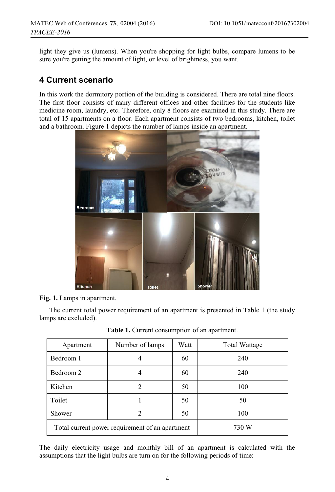light they give us (lumens). When you're shopping for light bulbs, compare lumens to be sure you're getting the amount of light, or level of brightness, you want.

# **4 Current scenario**

In this work the dormitory portion of the building is considered. There are total nine floors. The first floor consists of many different offices and other facilities for the students like medicine room, laundry, etc. Therefore, only 8 floors are examined in this study. There are total of 15 apartments on a floor. Each apartment consists of two bedrooms, kitchen, toilet and a bathroom. Figure 1 depicts the number of lamps inside an apartment.



**Fig. 1.** Lamps in apartment.

The current total power requirement of an apartment is presented in Table 1 (the study lamps are excluded).

| Apartment                                       | Number of lamps | Watt | <b>Total Wattage</b> |
|-------------------------------------------------|-----------------|------|----------------------|
| Bedroom 1                                       | 4               | 60   | 240                  |
| Bedroom 2                                       | 4               | 60   | 240                  |
| Kitchen                                         | $\overline{2}$  | 50   | 100                  |
| Toilet                                          |                 | 50   | 50                   |
| Shower                                          | 2               | 50   | 100                  |
| Total current power requirement of an apartment |                 |      | 730 W                |

**Table 1.** Current consumption of an apartment.

The daily electricity usage and monthly bill of an apartment is calculated with the assumptions that the light bulbs are turn on for the following periods of time: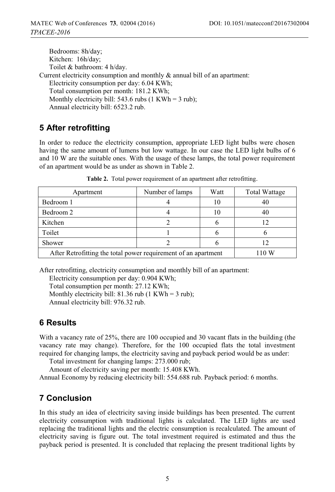Bedrooms: 8h/day; Kitchen: 16h/day; Toilet & bathroom: 4 h/day. Current electricity consumption and monthly & annual bill of an apartment: Electricity consumption per day: 6.04 KWh; Total consumption per month: 181.2 KWh; Monthly electricity bill: 543.6 rubs  $(1$  KWh = 3 rub); Annual electricity bill: 6523.2 rub.

# **5 After retrofitting**

In order to reduce the electricity consumption, appropriate LED light bulbs were chosen having the same amount of lumens but low wattage. In our case the LED light bulbs of 6 and 10 W are the suitable ones. With the usage of these lamps, the total power requirement of an apartment would be as under as shown in Table 2.

| Apartment                                                      | Number of lamps | Watt | <b>Total Wattage</b> |
|----------------------------------------------------------------|-----------------|------|----------------------|
| Bedroom 1                                                      |                 |      | 40                   |
| Bedroom 2                                                      |                 | 10   | 40                   |
| Kitchen                                                        |                 |      |                      |
| Toilet                                                         |                 |      |                      |
| Shower                                                         |                 |      |                      |
| After Retrofitting the total power requirement of an apartment | 110 W           |      |                      |

**Table 2.** Total power requirement of an apartment after retrofitting.

After retrofitting, electricity consumption and monthly bill of an apartment:

Electricity consumption per day: 0.904 KWh;

Total consumption per month: 27.12 KWh;

Monthly electricity bill:  $81.36$  rub (1 KWh = 3 rub);

Annual electricity bill: 976.32 rub.

## **6 Results**

With a vacancy rate of 25%, there are 100 occupied and 30 vacant flats in the building (the vacancy rate may change). Therefore, for the 100 occupied flats the total investment required for changing lamps, the electricity saving and payback period would be as under:

Total investment for changing lamps: 273.000 rub;

Amount of electricity saving per month: 15.408 KWh.

Annual Economy by reducing electricity bill: 554.688 rub. Payback period: 6 months.

## **7 Conclusion**

In this study an idea of electricity saving inside buildings has been presented. The current electricity consumption with traditional lights is calculated. The LED lights are used replacing the traditional lights and the electric consumption is recalculated. The amount of electricity saving is figure out. The total investment required is estimated and thus the payback period is presented. It is concluded that replacing the present traditional lights by